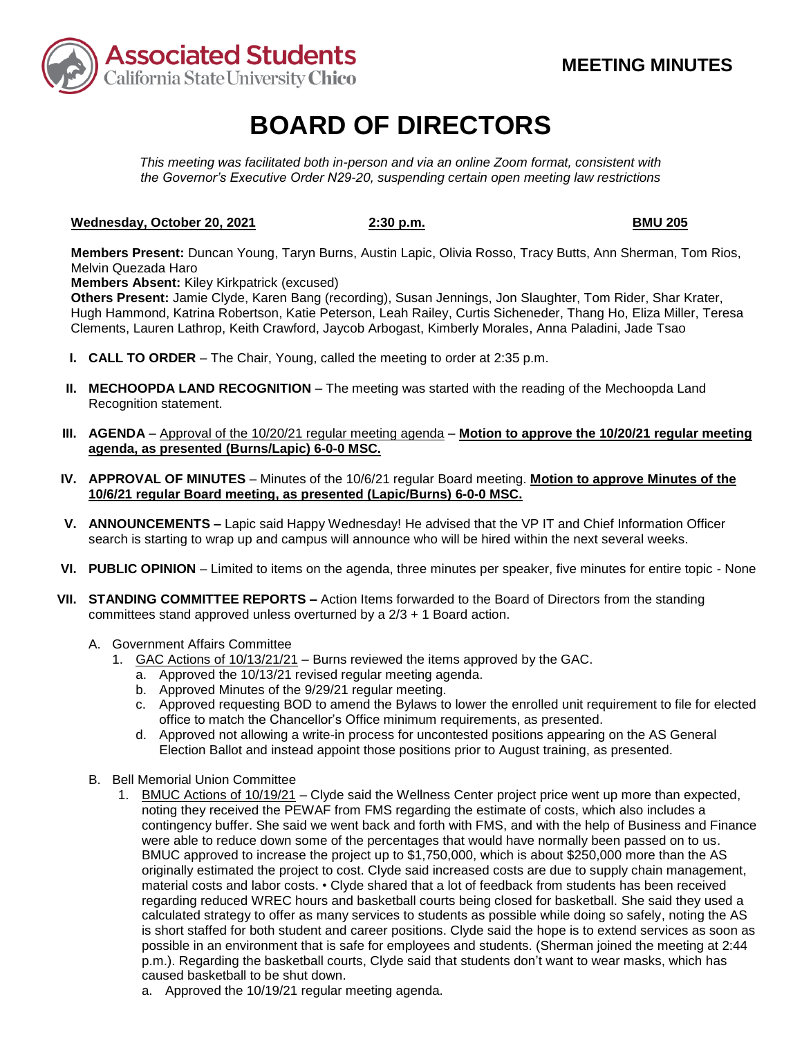

# **BOARD OF DIRECTORS**

*This meeting was facilitated both in-person and via an online Zoom format, consistent with the Governor's Executive Order N29-20, suspending certain open meeting law restrictions*

### **Wednesday, October 20, 2021** 2:30 **p.m. 2:30 p.m. BMU 205**

**Members Present:** Duncan Young, Taryn Burns, Austin Lapic, Olivia Rosso, Tracy Butts, Ann Sherman, Tom Rios, Melvin Quezada Haro

**Members Absent:** Kiley Kirkpatrick (excused)

**Others Present:** Jamie Clyde, Karen Bang (recording), Susan Jennings, Jon Slaughter, Tom Rider, Shar Krater, Hugh Hammond, Katrina Robertson, Katie Peterson, Leah Railey, Curtis Sicheneder, Thang Ho, Eliza Miller, Teresa Clements, Lauren Lathrop, Keith Crawford, Jaycob Arbogast, Kimberly Morales, Anna Paladini, Jade Tsao

- **I. CALL TO ORDER** The Chair, Young, called the meeting to order at 2:35 p.m.
- **II. MECHOOPDA LAND RECOGNITION** The meeting was started with the reading of the Mechoopda Land Recognition statement.
- **III. AGENDA** Approval of the 10/20/21 regular meeting agenda **Motion to approve the 10/20/21 regular meeting agenda, as presented (Burns/Lapic) 6-0-0 MSC.**
- **IV. APPROVAL OF MINUTES** Minutes of the 10/6/21 regular Board meeting. **Motion to approve Minutes of the 10/6/21 regular Board meeting, as presented (Lapic/Burns) 6-0-0 MSC.**
- **V. ANNOUNCEMENTS –** Lapic said Happy Wednesday! He advised that the VP IT and Chief Information Officer search is starting to wrap up and campus will announce who will be hired within the next several weeks.
- **VI. PUBLIC OPINION** Limited to items on the agenda, three minutes per speaker, five minutes for entire topic None
- **VII. STANDING COMMITTEE REPORTS –** Action Items forwarded to the Board of Directors from the standing committees stand approved unless overturned by a 2/3 + 1 Board action.
	- A. Government Affairs Committee
		- 1. GAC Actions of 10/13/21/21 Burns reviewed the items approved by the GAC.
			- a. Approved the 10/13/21 revised regular meeting agenda.
			- b. Approved Minutes of the 9/29/21 regular meeting.
			- c. Approved requesting BOD to amend the Bylaws to lower the enrolled unit requirement to file for elected office to match the Chancellor's Office minimum requirements, as presented.
			- d. Approved not allowing a write-in process for uncontested positions appearing on the AS General Election Ballot and instead appoint those positions prior to August training, as presented.
	- B. Bell Memorial Union Committee
		- 1. BMUC Actions of 10/19/21 Clyde said the Wellness Center project price went up more than expected, noting they received the PEWAF from FMS regarding the estimate of costs, which also includes a contingency buffer. She said we went back and forth with FMS, and with the help of Business and Finance were able to reduce down some of the percentages that would have normally been passed on to us. BMUC approved to increase the project up to \$1,750,000, which is about \$250,000 more than the AS originally estimated the project to cost. Clyde said increased costs are due to supply chain management, material costs and labor costs. • Clyde shared that a lot of feedback from students has been received regarding reduced WREC hours and basketball courts being closed for basketball. She said they used a calculated strategy to offer as many services to students as possible while doing so safely, noting the AS is short staffed for both student and career positions. Clyde said the hope is to extend services as soon as possible in an environment that is safe for employees and students. (Sherman joined the meeting at 2:44 p.m.). Regarding the basketball courts, Clyde said that students don't want to wear masks, which has caused basketball to be shut down.
			- a. Approved the 10/19/21 regular meeting agenda.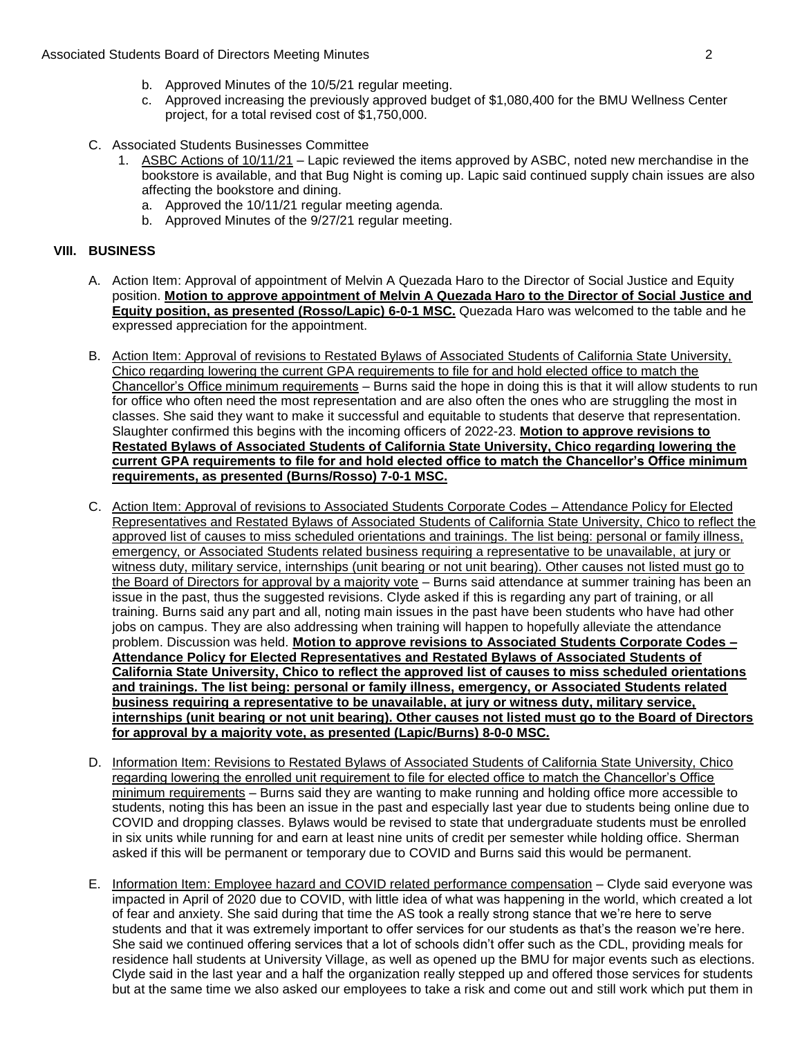- b. Approved Minutes of the 10/5/21 regular meeting.
- c. Approved increasing the previously approved budget of \$1,080,400 for the BMU Wellness Center project, for a total revised cost of \$1,750,000.
- C. Associated Students Businesses Committee
	- 1. ASBC Actions of 10/11/21 Lapic reviewed the items approved by ASBC, noted new merchandise in the bookstore is available, and that Bug Night is coming up. Lapic said continued supply chain issues are also affecting the bookstore and dining.
		- a. Approved the 10/11/21 regular meeting agenda.
		- b. Approved Minutes of the 9/27/21 regular meeting.

## **VIII. BUSINESS**

- A. Action Item: Approval of appointment of Melvin A Quezada Haro to the Director of Social Justice and Equity position. **Motion to approve appointment of Melvin A Quezada Haro to the Director of Social Justice and Equity position, as presented (Rosso/Lapic) 6-0-1 MSC.** Quezada Haro was welcomed to the table and he expressed appreciation for the appointment.
- B. Action Item: Approval of revisions to Restated Bylaws of Associated Students of California State University, Chico regarding lowering the current GPA requirements to file for and hold elected office to match the Chancellor's Office minimum requirements – Burns said the hope in doing this is that it will allow students to run for office who often need the most representation and are also often the ones who are struggling the most in classes. She said they want to make it successful and equitable to students that deserve that representation. Slaughter confirmed this begins with the incoming officers of 2022-23. **Motion to approve revisions to Restated Bylaws of Associated Students of California State University, Chico regarding lowering the current GPA requirements to file for and hold elected office to match the Chancellor's Office minimum requirements, as presented (Burns/Rosso) 7-0-1 MSC.**
- C. Action Item: Approval of revisions to Associated Students Corporate Codes Attendance Policy for Elected Representatives and Restated Bylaws of Associated Students of California State University, Chico to reflect the approved list of causes to miss scheduled orientations and trainings. The list being: personal or family illness, emergency, or Associated Students related business requiring a representative to be unavailable, at jury or witness duty, military service, internships (unit bearing or not unit bearing). Other causes not listed must go to the Board of Directors for approval by a majority vote – Burns said attendance at summer training has been an issue in the past, thus the suggested revisions. Clyde asked if this is regarding any part of training, or all training. Burns said any part and all, noting main issues in the past have been students who have had other jobs on campus. They are also addressing when training will happen to hopefully alleviate the attendance problem. Discussion was held. **Motion to approve revisions to Associated Students Corporate Codes – Attendance Policy for Elected Representatives and Restated Bylaws of Associated Students of California State University, Chico to reflect the approved list of causes to miss scheduled orientations and trainings. The list being: personal or family illness, emergency, or Associated Students related business requiring a representative to be unavailable, at jury or witness duty, military service, internships (unit bearing or not unit bearing). Other causes not listed must go to the Board of Directors for approval by a majority vote, as presented (Lapic/Burns) 8-0-0 MSC.**
- D. Information Item: Revisions to Restated Bylaws of Associated Students of California State University, Chico regarding lowering the enrolled unit requirement to file for elected office to match the Chancellor's Office minimum requirements - Burns said they are wanting to make running and holding office more accessible to students, noting this has been an issue in the past and especially last year due to students being online due to COVID and dropping classes. Bylaws would be revised to state that undergraduate students must be enrolled in six units while running for and earn at least nine units of credit per semester while holding office. Sherman asked if this will be permanent or temporary due to COVID and Burns said this would be permanent.
- E. Information Item: Employee hazard and COVID related performance compensation Clyde said everyone was impacted in April of 2020 due to COVID, with little idea of what was happening in the world, which created a lot of fear and anxiety. She said during that time the AS took a really strong stance that we're here to serve students and that it was extremely important to offer services for our students as that's the reason we're here. She said we continued offering services that a lot of schools didn't offer such as the CDL, providing meals for residence hall students at University Village, as well as opened up the BMU for major events such as elections. Clyde said in the last year and a half the organization really stepped up and offered those services for students but at the same time we also asked our employees to take a risk and come out and still work which put them in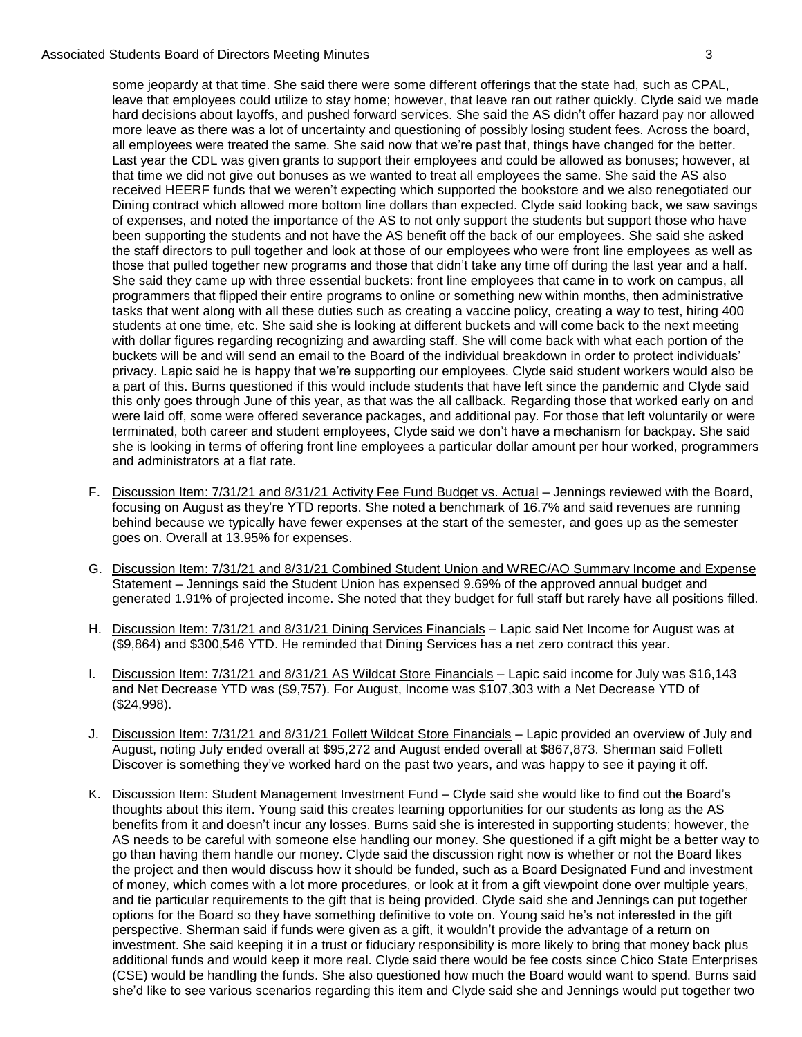### Associated Students Board of Directors Meeting Minutes 3

some jeopardy at that time. She said there were some different offerings that the state had, such as CPAL, leave that employees could utilize to stay home; however, that leave ran out rather quickly. Clyde said we made hard decisions about layoffs, and pushed forward services. She said the AS didn't offer hazard pay nor allowed more leave as there was a lot of uncertainty and questioning of possibly losing student fees. Across the board, all employees were treated the same. She said now that we're past that, things have changed for the better. Last year the CDL was given grants to support their employees and could be allowed as bonuses; however, at that time we did not give out bonuses as we wanted to treat all employees the same. She said the AS also received HEERF funds that we weren't expecting which supported the bookstore and we also renegotiated our Dining contract which allowed more bottom line dollars than expected. Clyde said looking back, we saw savings of expenses, and noted the importance of the AS to not only support the students but support those who have been supporting the students and not have the AS benefit off the back of our employees. She said she asked the staff directors to pull together and look at those of our employees who were front line employees as well as those that pulled together new programs and those that didn't take any time off during the last year and a half. She said they came up with three essential buckets: front line employees that came in to work on campus, all programmers that flipped their entire programs to online or something new within months, then administrative tasks that went along with all these duties such as creating a vaccine policy, creating a way to test, hiring 400 students at one time, etc. She said she is looking at different buckets and will come back to the next meeting with dollar figures regarding recognizing and awarding staff. She will come back with what each portion of the buckets will be and will send an email to the Board of the individual breakdown in order to protect individuals' privacy. Lapic said he is happy that we're supporting our employees. Clyde said student workers would also be a part of this. Burns questioned if this would include students that have left since the pandemic and Clyde said this only goes through June of this year, as that was the all callback. Regarding those that worked early on and were laid off, some were offered severance packages, and additional pay. For those that left voluntarily or were terminated, both career and student employees, Clyde said we don't have a mechanism for backpay. She said she is looking in terms of offering front line employees a particular dollar amount per hour worked, programmers and administrators at a flat rate.

- F. Discussion Item: 7/31/21 and 8/31/21 Activity Fee Fund Budget vs. Actual Jennings reviewed with the Board, focusing on August as they're YTD reports. She noted a benchmark of 16.7% and said revenues are running behind because we typically have fewer expenses at the start of the semester, and goes up as the semester goes on. Overall at 13.95% for expenses.
- G. Discussion Item: 7/31/21 and 8/31/21 Combined Student Union and WREC/AO Summary Income and Expense Statement – Jennings said the Student Union has expensed 9.69% of the approved annual budget and generated 1.91% of projected income. She noted that they budget for full staff but rarely have all positions filled.
- H. Discussion Item: 7/31/21 and 8/31/21 Dining Services Financials Lapic said Net Income for August was at (\$9,864) and \$300,546 YTD. He reminded that Dining Services has a net zero contract this year.
- I. Discussion Item: 7/31/21 and 8/31/21 AS Wildcat Store Financials Lapic said income for July was \$16,143 and Net Decrease YTD was (\$9,757). For August, Income was \$107,303 with a Net Decrease YTD of (\$24,998).
- J. Discussion Item: 7/31/21 and 8/31/21 Follett Wildcat Store Financials Lapic provided an overview of July and August, noting July ended overall at \$95,272 and August ended overall at \$867,873. Sherman said Follett Discover is something they've worked hard on the past two years, and was happy to see it paying it off.
- K. Discussion Item: Student Management Investment Fund Clyde said she would like to find out the Board's thoughts about this item. Young said this creates learning opportunities for our students as long as the AS benefits from it and doesn't incur any losses. Burns said she is interested in supporting students; however, the AS needs to be careful with someone else handling our money. She questioned if a gift might be a better way to go than having them handle our money. Clyde said the discussion right now is whether or not the Board likes the project and then would discuss how it should be funded, such as a Board Designated Fund and investment of money, which comes with a lot more procedures, or look at it from a gift viewpoint done over multiple years, and tie particular requirements to the gift that is being provided. Clyde said she and Jennings can put together options for the Board so they have something definitive to vote on. Young said he's not interested in the gift perspective. Sherman said if funds were given as a gift, it wouldn't provide the advantage of a return on investment. She said keeping it in a trust or fiduciary responsibility is more likely to bring that money back plus additional funds and would keep it more real. Clyde said there would be fee costs since Chico State Enterprises (CSE) would be handling the funds. She also questioned how much the Board would want to spend. Burns said she'd like to see various scenarios regarding this item and Clyde said she and Jennings would put together two